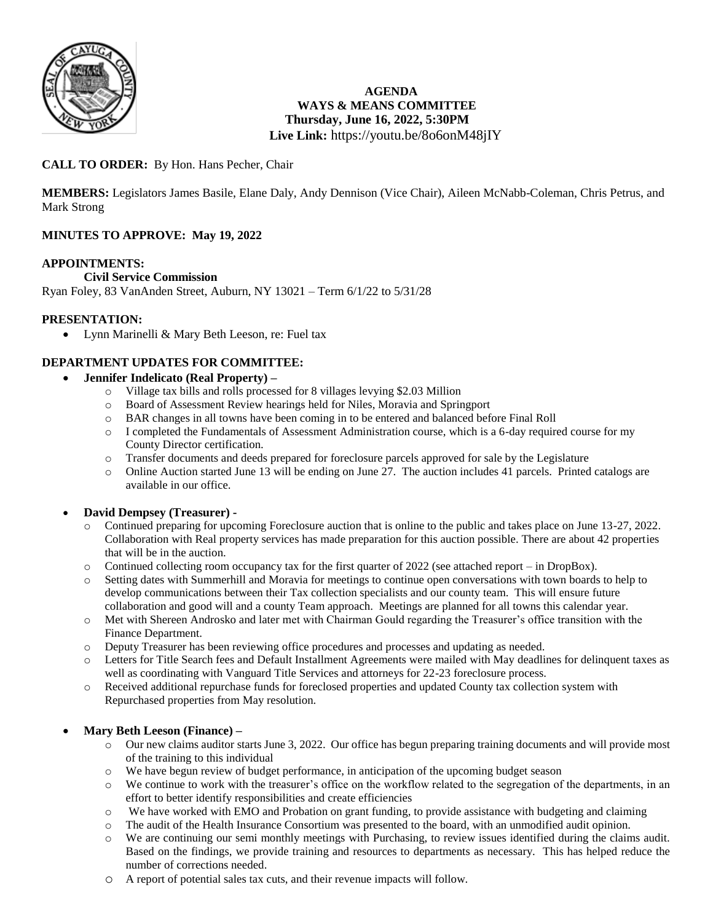

# **AGENDA WAYS & MEANS COMMITTEE Thursday, June 16, 2022, 5:30PM Live Link:** <https://youtu.be/8o6onM48jIY>

# **CALL TO ORDER:** By Hon. Hans Pecher, Chair

**MEMBERS:** Legislators James Basile, Elane Daly, Andy Dennison (Vice Chair), Aileen McNabb-Coleman, Chris Petrus, and Mark Strong

# **MINUTES TO APPROVE: May 19, 2022**

#### **APPOINTMENTS:**

#### **Civil Service Commission**

Ryan Foley, 83 VanAnden Street, Auburn, NY 13021 – Term 6/1/22 to 5/31/28

#### **PRESENTATION:**

• Lynn Marinelli & Mary Beth Leeson, re: Fuel tax

#### **DEPARTMENT UPDATES FOR COMMITTEE:**

- **Jennifer Indelicato (Real Property) –**
	- o Village tax bills and rolls processed for 8 villages levying \$2.03 Million
	- o Board of Assessment Review hearings held for Niles, Moravia and Springport
	- o BAR changes in all towns have been coming in to be entered and balanced before Final Roll
	- o I completed the Fundamentals of Assessment Administration course, which is a 6-day required course for my County Director certification.
	- o Transfer documents and deeds prepared for foreclosure parcels approved for sale by the Legislature
	- o Online Auction started June 13 will be ending on June 27. The auction includes 41 parcels. Printed catalogs are available in our office.

#### **David Dempsey (Treasurer) -**

- Continued preparing for upcoming Foreclosure auction that is online to the public and takes place on June 13-27, 2022. Collaboration with Real property services has made preparation for this auction possible. There are about 42 properties that will be in the auction.
- o Continued collecting room occupancy tax for the first quarter of 2022 (see attached report in DropBox).
- o Setting dates with Summerhill and Moravia for meetings to continue open conversations with town boards to help to develop communications between their Tax collection specialists and our county team. This will ensure future collaboration and good will and a county Team approach. Meetings are planned for all towns this calendar year.
- o Met with Shereen Androsko and later met with Chairman Gould regarding the Treasurer's office transition with the Finance Department.
- o Deputy Treasurer has been reviewing office procedures and processes and updating as needed.
- Letters for Title Search fees and Default Installment Agreements were mailed with May deadlines for delinquent taxes as well as coordinating with Vanguard Title Services and attorneys for 22-23 foreclosure process.
- o Received additional repurchase funds for foreclosed properties and updated County tax collection system with Repurchased properties from May resolution.

#### **Mary Beth Leeson (Finance) –**

- o Our new claims auditor starts June 3, 2022. Our office has begun preparing training documents and will provide most of the training to this individual
- o We have begun review of budget performance, in anticipation of the upcoming budget season
- o We continue to work with the treasurer's office on the workflow related to the segregation of the departments, in an effort to better identify responsibilities and create efficiencies
- o We have worked with EMO and Probation on grant funding, to provide assistance with budgeting and claiming
- o The audit of the Health Insurance Consortium was presented to the board, with an unmodified audit opinion.
- o We are continuing our semi monthly meetings with Purchasing, to review issues identified during the claims audit. Based on the findings, we provide training and resources to departments as necessary. This has helped reduce the number of corrections needed.
- o A report of potential sales tax cuts, and their revenue impacts will follow.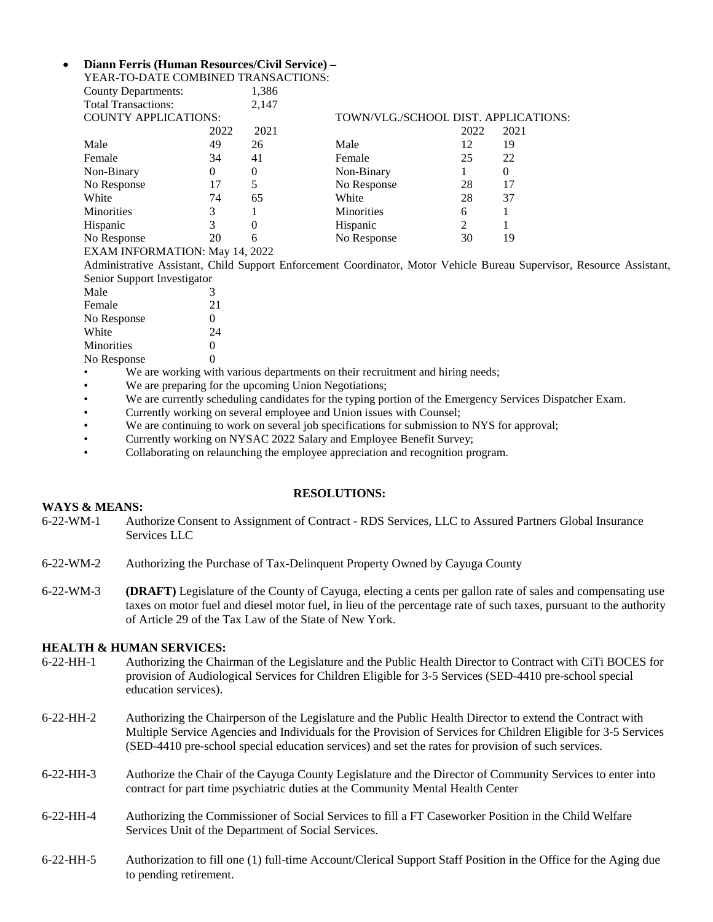#### **Diann Ferris (Human Resources/Civil Service) –** YEAR-TO-DATE COMBINED TRANSACTIONS:

| County Departments:         |      | 1,386 |                                      |                |      |
|-----------------------------|------|-------|--------------------------------------|----------------|------|
| <b>Total Transactions:</b>  |      | 2,147 |                                      |                |      |
| <b>COUNTY APPLICATIONS:</b> |      |       | TOWN/VLG./SCHOOL DIST. APPLICATIONS: |                |      |
|                             | 2022 | 2021  |                                      | 2022           | 2021 |
| Male                        | 49   | 26    | Male                                 | 12             | 19   |
| Female                      | 34   | 41    | Female                               | 25             | 22   |
| Non-Binary                  | 0    | 0     | Non-Binary                           |                |      |
| No Response                 | 17   | 5     | No Response                          | 28             | 17   |
| White                       | 74   | 65    | White                                | 28             | 37   |
| <b>Minorities</b>           | 3    |       | <b>Minorities</b>                    | 6              |      |
| Hispanic                    | 3    | 0     | Hispanic                             | $\overline{c}$ |      |
| No Response                 | 20   | 6     | No Response                          | 30             | 19   |

EXAM INFORMATION: May 14, 2022

Administrative Assistant, Child Support Enforcement Coordinator, Motor Vehicle Bureau Supervisor, Resource Assistant, Senior Support Investigator

| Male              | 3                 |
|-------------------|-------------------|
| Female            | 21                |
| No Response       | 0                 |
| White             | 24                |
| <b>Minorities</b> | 0                 |
| No Response       | $\mathbf{\Omega}$ |

- We are working with various departments on their recruitment and hiring needs;
- We are preparing for the upcoming Union Negotiations;
- We are currently scheduling candidates for the typing portion of the Emergency Services Dispatcher Exam.
- Currently working on several employee and Union issues with Counsel;
- We are continuing to work on several job specifications for submission to NYS for approval;
- Currently working on NYSAC 2022 Salary and Employee Benefit Survey;
- Collaborating on relaunching the employee appreciation and recognition program.

#### **RESOLUTIONS:**

#### **WAYS & MEANS:**

- 6-22-WM-1 Authorize Consent to Assignment of Contract RDS Services, LLC to Assured Partners Global Insurance Services LLC
- 6-22-WM-2 Authorizing the Purchase of Tax-Delinquent Property Owned by Cayuga County
- 6-22-WM-3 **(DRAFT)** Legislature of the County of Cayuga, electing a cents per gallon rate of sales and compensating use taxes on motor fuel and diesel motor fuel, in lieu of the percentage rate of such taxes, pursuant to the authority of Article 29 of the Tax Law of the State of New York.

#### **HEALTH & HUMAN SERVICES:**

- 6-22-HH-1 Authorizing the Chairman of the Legislature and the Public Health Director to Contract with CiTi BOCES for provision of Audiological Services for Children Eligible for 3-5 Services (SED-4410 pre-school special education services).
- 6-22-HH-2 Authorizing the Chairperson of the Legislature and the Public Health Director to extend the Contract with Multiple Service Agencies and Individuals for the Provision of Services for Children Eligible for 3-5 Services (SED-4410 pre-school special education services) and set the rates for provision of such services.
- 6-22-HH-3 Authorize the Chair of the Cayuga County Legislature and the Director of Community Services to enter into contract for part time psychiatric duties at the Community Mental Health Center
- 6-22-HH-4 Authorizing the Commissioner of Social Services to fill a FT Caseworker Position in the Child Welfare Services Unit of the Department of Social Services.
- 6-22-HH-5 Authorization to fill one (1) full-time Account/Clerical Support Staff Position in the Office for the Aging due to pending retirement.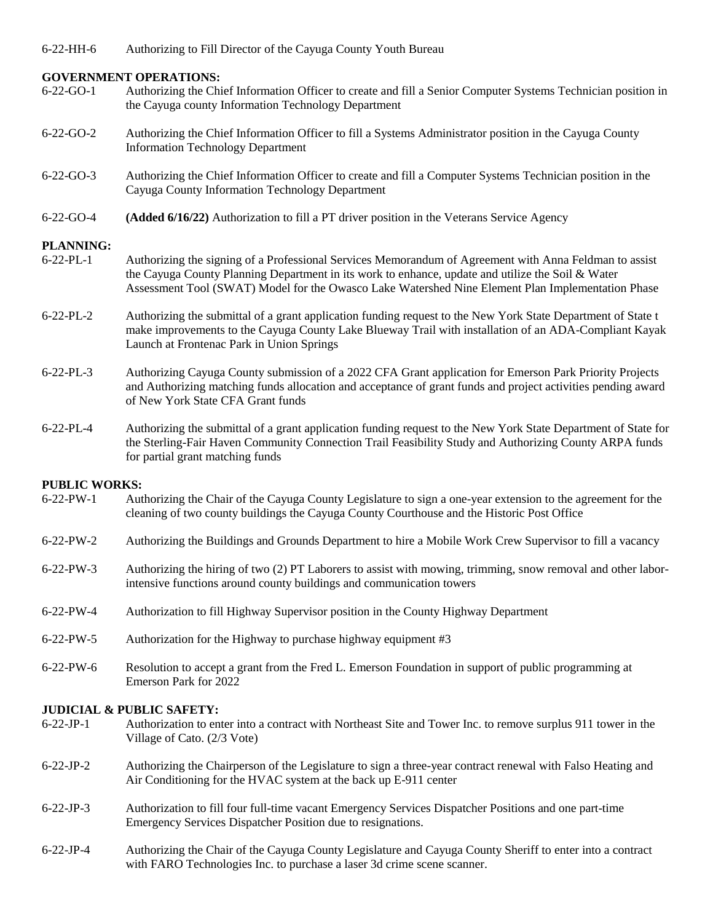#### **GOVERNMENT OPERATIONS:**

- 6-22-GO-1 Authorizing the Chief Information Officer to create and fill a Senior Computer Systems Technician position in the Cayuga county Information Technology Department
- 6-22-GO-2 Authorizing the Chief Information Officer to fill a Systems Administrator position in the Cayuga County Information Technology Department
- 6-22-GO-3 Authorizing the Chief Information Officer to create and fill a Computer Systems Technician position in the Cayuga County Information Technology Department
- 6-22-GO-4 **(Added 6/16/22)** Authorization to fill a PT driver position in the Veterans Service Agency

#### **PLANNING:**

- 6-22-PL-1 Authorizing the signing of a Professional Services Memorandum of Agreement with Anna Feldman to assist the Cayuga County Planning Department in its work to enhance, update and utilize the Soil & Water Assessment Tool (SWAT) Model for the Owasco Lake Watershed Nine Element Plan Implementation Phase
- 6-22-PL-2 Authorizing the submittal of a grant application funding request to the New York State Department of State t make improvements to the Cayuga County Lake Blueway Trail with installation of an ADA-Compliant Kayak Launch at Frontenac Park in Union Springs
- 6-22-PL-3 Authorizing Cayuga County submission of a 2022 CFA Grant application for Emerson Park Priority Projects and Authorizing matching funds allocation and acceptance of grant funds and project activities pending award of New York State CFA Grant funds
- 6-22-PL-4 Authorizing the submittal of a grant application funding request to the New York State Department of State for the Sterling-Fair Haven Community Connection Trail Feasibility Study and Authorizing County ARPA funds for partial grant matching funds

#### **PUBLIC WORKS:**

- 6-22-PW-1 Authorizing the Chair of the Cayuga County Legislature to sign a one-year extension to the agreement for the cleaning of two county buildings the Cayuga County Courthouse and the Historic Post Office
- 6-22-PW-2 Authorizing the Buildings and Grounds Department to hire a Mobile Work Crew Supervisor to fill a vacancy
- 6-22-PW-3 Authorizing the hiring of two (2) PT Laborers to assist with mowing, trimming, snow removal and other laborintensive functions around county buildings and communication towers
- 6-22-PW-4 Authorization to fill Highway Supervisor position in the County Highway Department
- 6-22-PW-5 Authorization for the Highway to purchase highway equipment #3
- 6-22-PW-6 Resolution to accept a grant from the Fred L. Emerson Foundation in support of public programming at Emerson Park for 2022

#### **JUDICIAL & PUBLIC SAFETY:**

- 6-22-JP-1 Authorization to enter into a contract with Northeast Site and Tower Inc. to remove surplus 911 tower in the Village of Cato. (2/3 Vote)
- 6-22-JP-2 Authorizing the Chairperson of the Legislature to sign a three-year contract renewal with Falso Heating and Air Conditioning for the HVAC system at the back up E-911 center
- 6-22-JP-3 Authorization to fill four full-time vacant Emergency Services Dispatcher Positions and one part-time Emergency Services Dispatcher Position due to resignations.
- 6-22-JP-4 Authorizing the Chair of the Cayuga County Legislature and Cayuga County Sheriff to enter into a contract with FARO Technologies Inc. to purchase a laser 3d crime scene scanner.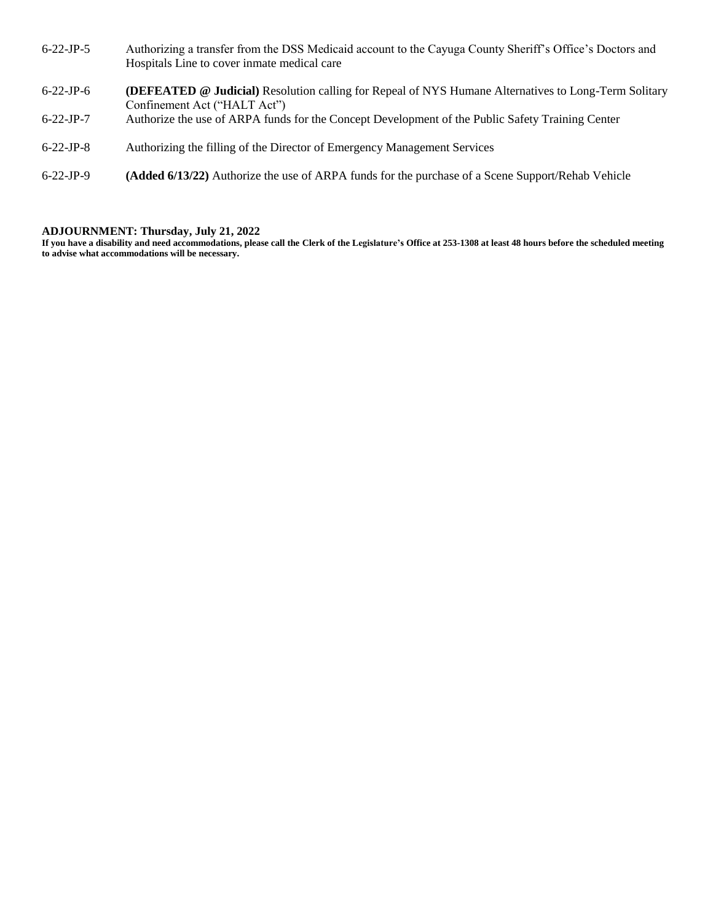- 6-22-JP-5 Authorizing a transfer from the DSS Medicaid account to the Cayuga County Sheriff's Office's Doctors and Hospitals Line to cover inmate medical care
- 6-22-JP-6 **(DEFEATED @ Judicial)** Resolution calling for Repeal of NYS Humane Alternatives to Long-Term Solitary Confinement Act ("HALT Act")
- 6-22-JP-7 Authorize the use of ARPA funds for the Concept Development of the Public Safety Training Center
- 6-22-JP-8 Authorizing the filling of the Director of Emergency Management Services
- 6-22-JP-9 **(Added 6/13/22)** Authorize the use of ARPA funds for the purchase of a Scene Support/Rehab Vehicle

#### **ADJOURNMENT: Thursday, July 21, 2022**

**If you have a disability and need accommodations, please call the Clerk of the Legislature's Office at 253-1308 at least 48 hours before the scheduled meeting to advise what accommodations will be necessary.**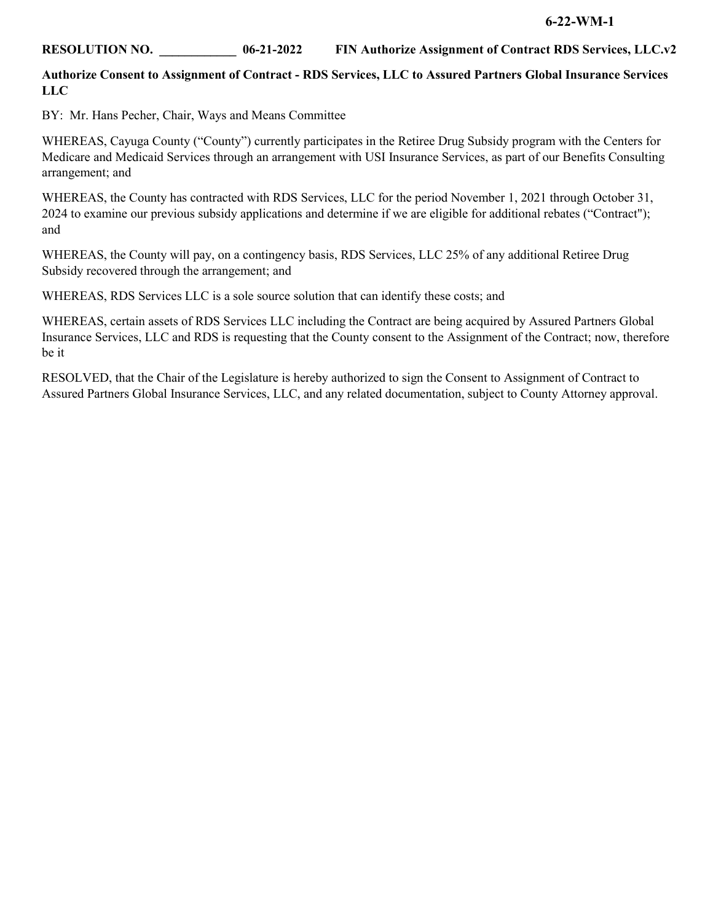# **RESOLUTION NO. \_\_\_\_\_\_\_\_\_\_\_\_ 06-21-2022 FIN Authorize Assignment of Contract RDS Services, LLC.v2**

### **Authorize Consent to Assignment of Contract - RDS Services, LLC to Assured Partners Global Insurance Services LLC**

BY: Mr. Hans Pecher, Chair, Ways and Means Committee

WHEREAS, Cayuga County ("County") currently participates in the Retiree Drug Subsidy program with the Centers for Medicare and Medicaid Services through an arrangement with USI Insurance Services, as part of our Benefits Consulting arrangement; and

WHEREAS, the County has contracted with RDS Services, LLC for the period November 1, 2021 through October 31, 2024 to examine our previous subsidy applications and determine if we are eligible for additional rebates ("Contract"); and

WHEREAS, the County will pay, on a contingency basis, RDS Services, LLC 25% of any additional Retiree Drug Subsidy recovered through the arrangement; and

WHEREAS, RDS Services LLC is a sole source solution that can identify these costs; and

WHEREAS, certain assets of RDS Services LLC including the Contract are being acquired by Assured Partners Global Insurance Services, LLC and RDS is requesting that the County consent to the Assignment of the Contract; now, therefore be it

RESOLVED, that the Chair of the Legislature is hereby authorized to sign the Consent to Assignment of Contract to Assured Partners Global Insurance Services, LLC, and any related documentation, subject to County Attorney approval.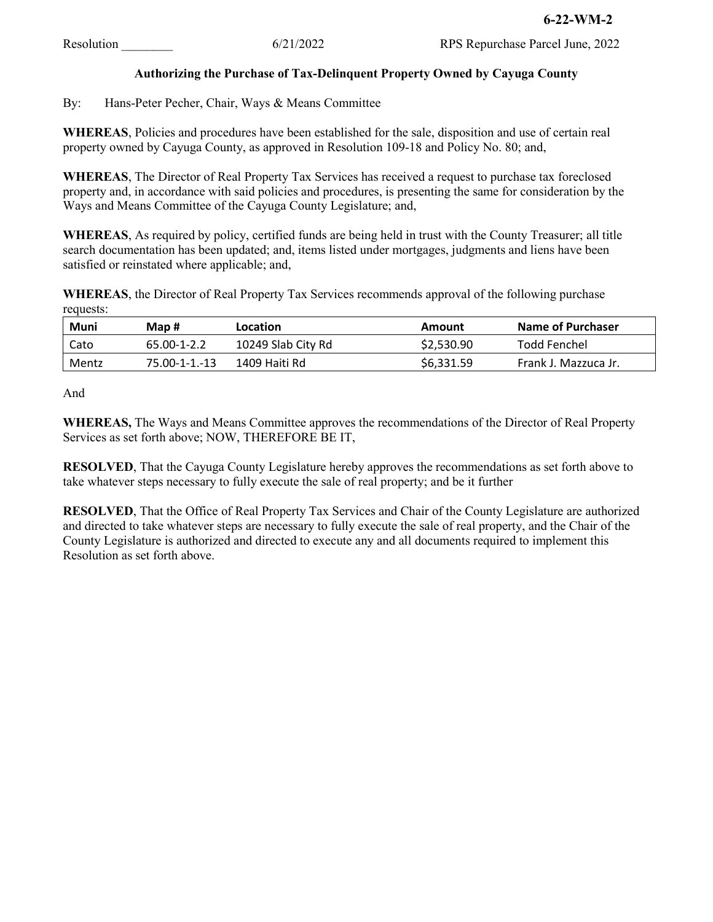# **Authorizing the Purchase of Tax-Delinquent Property Owned by Cayuga County**

By: Hans-Peter Pecher, Chair, Ways & Means Committee

**WHEREAS**, Policies and procedures have been established for the sale, disposition and use of certain real property owned by Cayuga County, as approved in Resolution 109-18 and Policy No. 80; and,

**WHEREAS**, The Director of Real Property Tax Services has received a request to purchase tax foreclosed property and, in accordance with said policies and procedures, is presenting the same for consideration by the Ways and Means Committee of the Cayuga County Legislature; and,

**WHEREAS**, As required by policy, certified funds are being held in trust with the County Treasurer; all title search documentation has been updated; and, items listed under mortgages, judgments and liens have been satisfied or reinstated where applicable; and,

**WHEREAS**, the Director of Real Property Tax Services recommends approval of the following purchase requests:

| Muni  | Map #         | Location           | Amount     | Name of Purchaser    |
|-------|---------------|--------------------|------------|----------------------|
| Cato  | 65.00-1-2.2   | 10249 Slab City Rd | \$2,530.90 | Todd Fenchel         |
| Mentz | 75.00-1-1.-13 | 1409 Haiti Rd      | \$6,331.59 | Frank J. Mazzuca Jr. |

And

**WHEREAS,** The Ways and Means Committee approves the recommendations of the Director of Real Property Services as set forth above; NOW, THEREFORE BE IT,

**RESOLVED**, That the Cayuga County Legislature hereby approves the recommendations as set forth above to take whatever steps necessary to fully execute the sale of real property; and be it further

**RESOLVED**, That the Office of Real Property Tax Services and Chair of the County Legislature are authorized and directed to take whatever steps are necessary to fully execute the sale of real property, and the Chair of the County Legislature is authorized and directed to execute any and all documents required to implement this Resolution as set forth above.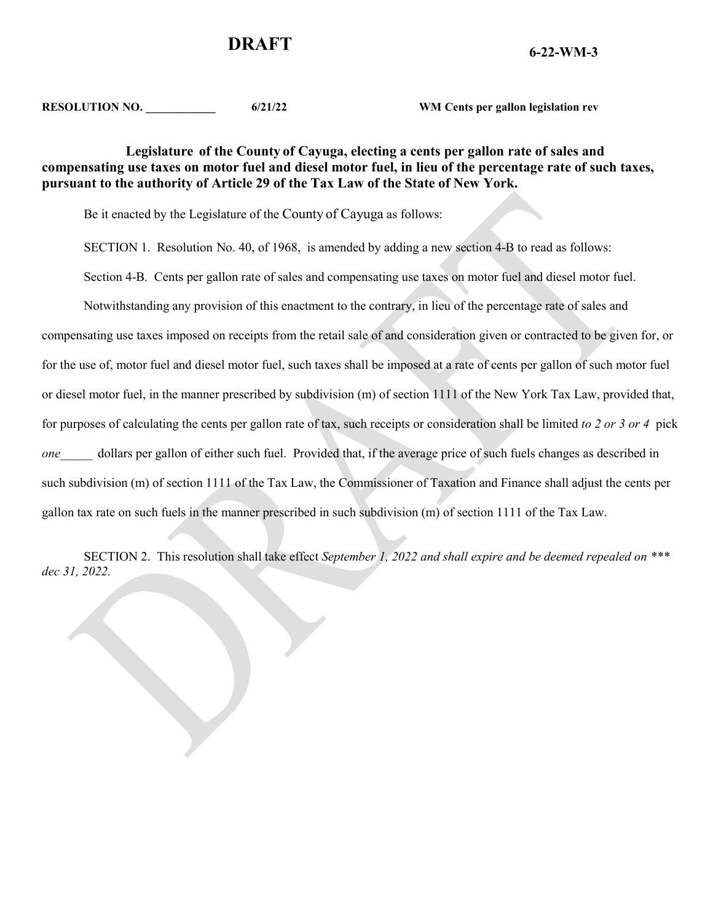# **6-22-WM-3 DRAFT**

**RESOLUTION NO. \_\_\_\_\_\_\_\_\_\_\_\_ 6/21/22 WM Cents per gallon legislation rev**

# **Legislature of the County of Cayuga, electing a cents per gallon rate of sales and compensating use taxes on motor fuel and diesel motor fuel, in lieu of the percentage rate of such taxes, pursuant to the authority of Article 29 of the Tax Law of the State of New York.**

Be it enacted by the Legislature of the County of Cayuga as follows:

SECTION 1. Resolution No. 40, of 1968, is amended by adding a new section 4-B to read as follows:

Section 4-B. Cents per gallon rate of sales and compensating use taxes on motor fuel and diesel motor fuel.

Notwithstanding any provision of this enactment to the contrary, in lieu of the percentage rate of sales and

compensating use taxes imposed on receipts from the retail sale of and consideration given or contracted to be given for, or for the use of, motor fuel and diesel motor fuel, such taxes shall be imposed at a rate of cents per gallon of such motor fuel or diesel motor fuel, in the manner prescribed by subdivision (m) of section 1111 of the New York Tax Law, provided that, for purposes of calculating the cents per gallon rate of tax, such receipts or consideration shall be limited *to 2 or 3 or 4* pick *one* dollars per gallon of either such fuel. Provided that, if the average price of such fuels changes as described in such subdivision (m) of section 1111 of the Tax Law, the Commissioner of Taxation and Finance shall adjust the cents per gallon tax rate on such fuels in the manner prescribed in such subdivision (m) of section 1111 of the Tax Law.

SECTION 2. This resolution shall take effect *September 1, 2022 and shall expire and be deemed repealed on \*\*\* dec 31, 2022.*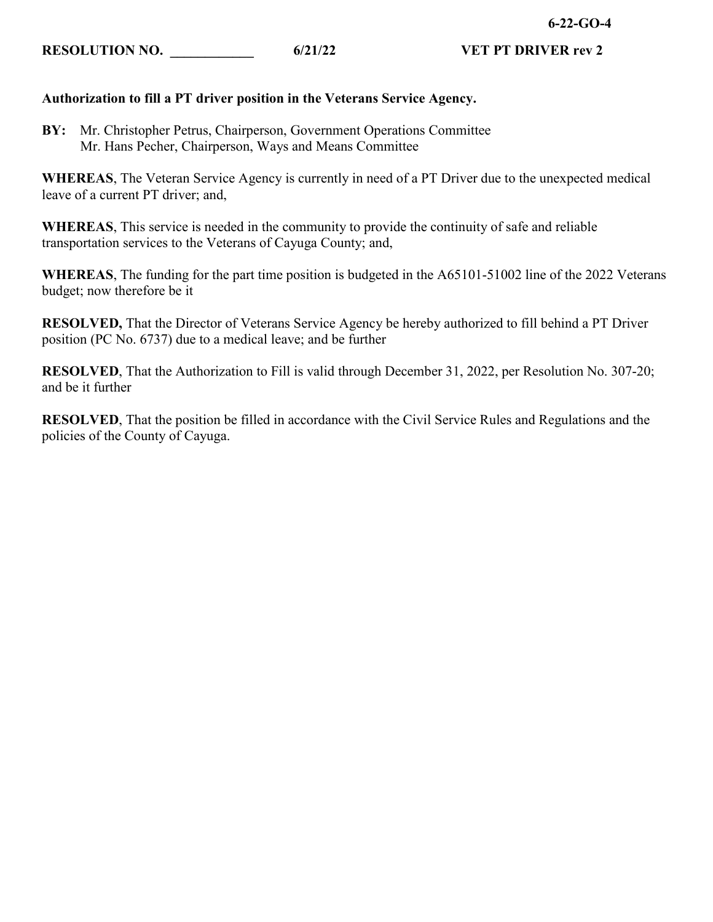# **Authorization to fill a PT driver position in the Veterans Service Agency.**

**BY:** Mr. Christopher Petrus, Chairperson, Government Operations Committee Mr. Hans Pecher, Chairperson, Ways and Means Committee

**WHEREAS**, The Veteran Service Agency is currently in need of a PT Driver due to the unexpected medical leave of a current PT driver; and,

**WHEREAS**, This service is needed in the community to provide the continuity of safe and reliable transportation services to the Veterans of Cayuga County; and,

**WHEREAS**, The funding for the part time position is budgeted in the A65101-51002 line of the 2022 Veterans budget; now therefore be it

**RESOLVED,** That the Director of Veterans Service Agency be hereby authorized to fill behind a PT Driver position (PC No. 6737) due to a medical leave; and be further

**RESOLVED**, That the Authorization to Fill is valid through December 31, 2022, per Resolution No. 307-20; and be it further

**RESOLVED**, That the position be filled in accordance with the Civil Service Rules and Regulations and the policies of the County of Cayuga.